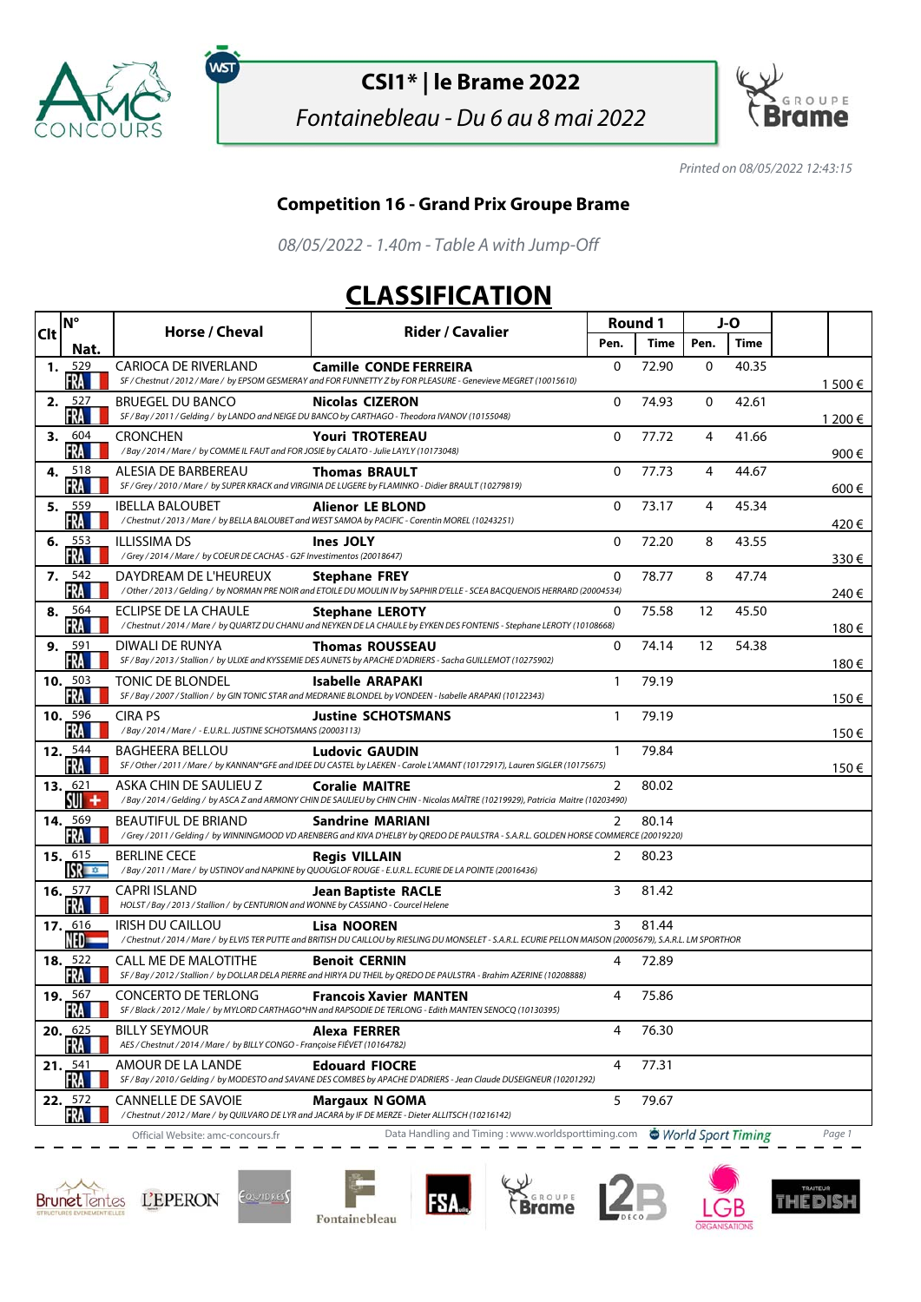

ัพรา

## **CSI1\* | le Brame 2022**

Fontainebleau - Du 6 au 8 mai 2022



Printed on 08/05/2022 12:43:15

## **Competition 16 - Grand Prix Groupe Brame**

08/05/2022 - 1.40m - Table A with Jump-Off

## **CLASSIFICATION**

| <b>Clt</b> | <b>N°</b>                      | Horse / Cheval                                                                                             | <b>Rider / Cavalier</b>                                                                                                                                                | Round 1      |       | J-O  |             |         |
|------------|--------------------------------|------------------------------------------------------------------------------------------------------------|------------------------------------------------------------------------------------------------------------------------------------------------------------------------|--------------|-------|------|-------------|---------|
|            | Nat.                           |                                                                                                            |                                                                                                                                                                        | Pen.         | Time  | Pen. | <b>Time</b> |         |
| 1.         | 529<br>FRA                     | <b>CARIOCA DE RIVERLAND</b>                                                                                | <b>Camille CONDE FERREIRA</b><br>SF / Chestnut / 2012 / Mare / by EPSOM GESMERAY and FOR FUNNETTY Z by FOR PLEASURE - Genevieve MEGRET (10015610)                      | 0            | 72.90 | 0    | 40.35       | 1 500 € |
|            | 2.527<br>FRA                   | <b>BRUEGEL DU BANCO</b>                                                                                    | <b>Nicolas CIZERON</b><br>SF / Bay / 2011 / Gelding / by LANDO and NEIGE DU BANCO by CARTHAGO - Theodora IVANOV (10155048)                                             | $\mathbf{0}$ | 74.93 | 0    | 42.61       | 1 200 € |
| 3.         | 604<br>FRA                     | CRONCHEN<br>/Bay / 2014 / Mare / by COMME IL FAUT and FOR JOSIE by CALATO - Julie LAYLY (10173048)         | <b>Youri TROTEREAU</b>                                                                                                                                                 | $\mathbf{0}$ | 77.72 | 4    | 41.66       | 900€    |
| 4.         | 518<br>FRA                     | ALESIA DE BARBEREAU                                                                                        | <b>Thomas BRAULT</b><br>SF / Grey / 2010 / Mare / by SUPER KRACK and VIRGINIA DE LUGERE by FLAMINKO - Didier BRAULT (10279819)                                         | $\mathbf{0}$ | 77.73 | 4    | 44.67       | 600€    |
|            | 5. $559$<br>FRA                | <b>IBELLA BALOUBET</b>                                                                                     | <b>Alienor LE BLOND</b><br>/Chestnut/2013/Mare/ by BELLA BALOUBET and WEST SAMOA by PACIFIC - Corentin MOREL (10243251)                                                | 0            | 73.17 | 4    | 45.34       | 420€    |
| 6.         | 553<br>FRA                     | <b>ILLISSIMA DS</b><br>/Grey / 2014 / Mare / by COEUR DE CACHAS - G2F Investimentos (20018647)             | <b>Ines JOLY</b>                                                                                                                                                       | 0            | 72.20 | 8    | 43.55       | 330€    |
|            | 7. $542$<br>FRA                | DAYDREAM DE L'HEUREUX                                                                                      | <b>Stephane FREY</b><br>/ Other / 2013 / Gelding / by NORMAN PRE NOIR and ETOILE DU MOULIN IV by SAPHIR D'ELLE - SCEA BACQUENOIS HERRARD (20004534)                    | 0            | 78.77 | 8    | 47.74       | 240€    |
| 8.         | 564<br>FRA                     | ECLIPSE DE LA CHAULE                                                                                       | <b>Stephane LEROTY</b><br>/Chestnut / 2014 / Mare / by QUARTZ DU CHANU and NEYKEN DE LA CHAULE by EYKEN DES FONTENIS - Stephane LEROTY (10108668)                      | 0            | 75.58 | 12   | 45.50       | 180€    |
| 9.         | 591<br>FRA                     | DIWALI DE RUNYA                                                                                            | <b>Thomas ROUSSEAU</b><br>SF / Bay / 2013 / Stallion / by ULIXE and KYSSEMIE DES AUNETS by APACHE D'ADRIERS - Sacha GUILLEMOT (10275902)                               | 0            | 74.14 | 12   | 54.38       | 180€    |
|            | 10. $503$<br>FRA               | <b>TONIC DE BLONDEL</b>                                                                                    | Isabelle ARAPAKI<br>SF / Bay / 2007 / Stallion / by GIN TONIC STAR and MEDRANIE BLONDEL by VONDEEN - Isabelle ARAPAKI (10122343)                                       | 1            | 79.19 |      |             | 150€    |
|            | 10. $596$<br>FRA               | <b>CIRA PS</b><br>/Bay / 2014 / Mare / - E.U.R.L. JUSTINE SCHOTSMANS (20003113)                            | <b>Justine SCHOTSMANS</b>                                                                                                                                              | $\mathbf{1}$ | 79.19 |      |             |         |
|            | 12. $544$<br>FRA               | <b>BAGHEERA BELLOU</b>                                                                                     | <b>Ludovic GAUDIN</b><br>SF / Other / 2011 / Mare / by KANNAN*GFE and IDEE DU CASTEL by LAEKEN - Carole L'AMANT (10172917), Lauren SIGLER (10175675)                   | 1            | 79.84 |      |             | 150€    |
|            | 13. $621$<br>SUI +             | ASKA CHIN DE SAULIEU Z                                                                                     | <b>Coralie MAITRE</b><br>/Bay / 2014 / Gelding / by ASCA Z and ARMONY CHIN DE SAULIEU by CHIN CHIN - Nicolas MAÎTRE (10219929), Patricia Maitre (10203490)             | 2            | 80.02 |      |             | 150€    |
|            | <b>14.</b> 569<br>FRA          | <b>BEAUTIFUL DE BRIAND</b>                                                                                 | <b>Sandrine MARIANI</b><br>/Grey / 2011 / Gelding / by WINNINGMOOD VD ARENBERG and KIVA D'HELBY by QREDO DE PAULSTRA - S.A.R.L. GOLDEN HORSE COMMERCE (20019220)       | 2            | 80.14 |      |             |         |
|            | 15. 615<br><b>ISR</b> TO THE   | <b>BERLINE CECE</b>                                                                                        | <b>Regis VILLAIN</b><br>/Bay / 2011 / Mare / by USTINOV and NAPKINE by QUOUGLOF ROUGE - E.U.R.L. ECURIE DE LA POINTE (20016436)                                        | 2            | 80.23 |      |             |         |
|            | 16. $577$<br>FRA               | <b>CAPRI ISLAND</b><br>HOLST / Bay / 2013 / Stallion / by CENTURION and WONNE by CASSIANO - Courcel Helene | <b>Jean Baptiste RACLE</b>                                                                                                                                             | 3            | 81.42 |      |             |         |
|            | <b>17.</b> 616<br>NED          | <b>IRISH DU CAILLOU</b>                                                                                    | Lisa NOOREN<br>/Chestnut/2014/Mare/ by ELVIS TER PUTTE and BRITISH DU CAILLOU by RIESLING DU MONSELET - S.A.R.L. ECURIE PELLON MAISON (20005679), S.A.R.L. LM SPORTHOR | 3            | 81.44 |      |             |         |
|            | 18. $522$<br>FRA               | <b>CALL ME DE MALOTITHE</b>                                                                                | <b>Benoit CERNIN</b><br>SF / Bay / 2012 / Stallion / by DOLLAR DELA PIERRE and HIRYA DU THEIL by QREDO DE PAULSTRA - Brahim AZERINE (10208888)                         | 4            | 72.89 |      |             |         |
|            | <b>19. 567</b><br>FRA <b>L</b> | <b>CONCERTO DE TERLONG</b>                                                                                 | <b>Francois Xavier MANTEN</b><br>SF / Black / 2012 / Male / by MYLORD CARTHAGO*HN and RAPSODIE DE TERLONG - Edith MANTEN SENOCQ (10130395)                             | 4            | 75.86 |      |             |         |
|            | 20. $625$<br>FRA               | <b>BILLY SEYMOUR</b><br>AES / Chestnut / 2014 / Mare / by BILLY CONGO - Françoise FIÉVET (10164782)        | Alexa FERRER                                                                                                                                                           | 4            | 76.30 |      |             |         |
|            | 21. 541<br>FRA                 | AMOUR DE LA LANDE                                                                                          | <b>Edouard FIOCRE</b><br>SF / Bay / 2010 / Gelding / by MODESTO and SAVANE DES COMBES by APACHE D'ADRIERS - Jean Claude DUSEIGNEUR (10201292)                          | 4            | 77.31 |      |             |         |
|            | 22. 572<br>FRA                 | <b>CANNELLE DE SAVOIE</b>                                                                                  | <b>Margaux N GOMA</b><br>/Chestnut / 2012 / Mare / by QUILVARO DE LYR and JACARA by IF DE MERZE - Dieter ALLITSCH (10216142)                                           | 5            | 79.67 |      |             |         |
|            |                                | Official Website: amc-concours.fr                                                                          | Data Handling and Timing: www.worldsporttiming.com  Subset Timing                                                                                                      |              |       |      |             | Page 1  |